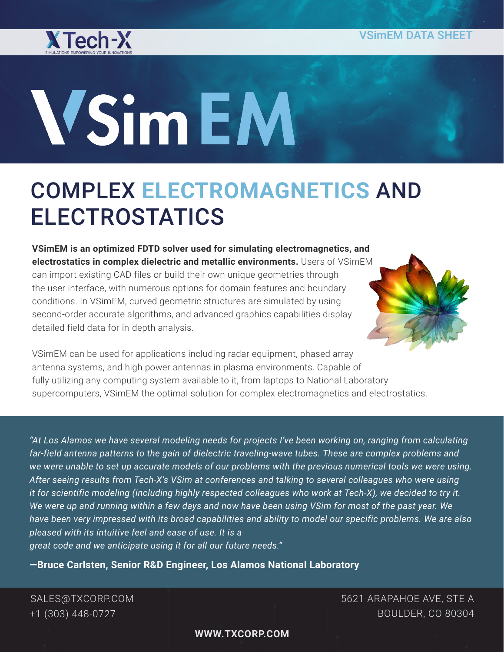

# **WSimEM**

# COMPLEX **ELECTROMAGNETICS** AND ELECTROSTATICS

**VSimEM is an optimized FDTD solver used for simulating electromagnetics, and electrostatics in complex dielectric and metallic environments.** Users of VSimEM can import existing CAD files or build their own unique geometries through the user interface, with numerous options for domain features and boundary conditions. In VSimEM, curved geometric structures are simulated by using second-order accurate algorithms, and advanced graphics capabilities display detailed field data for in-depth analysis.



VSimEM can be used for applications including radar equipment, phased array antenna systems, and high power antennas in plasma environments. Capable of fully utilizing any computing system available to it, from laptops to National Laboratory supercomputers, VSimEM the optimal solution for complex electromagnetics and electrostatics.

*"At Los Alamos we have several modeling needs for projects I've been working on, ranging from calculating far-field antenna patterns to the gain of dielectric traveling-wave tubes. These are complex problems and we were unable to set up accurate models of our problems with the previous numerical tools we were using. After seeing results from Tech-X's VSim at conferences and talking to several colleagues who were using it for scientific modeling (including highly respected colleagues who work at Tech-X), we decided to try it. We were up and running within a few days and now have been using VSim for most of the past year. We have been very impressed with its broad capabilities and ability to model our specific problems. We are also pleased with its intuitive feel and ease of use. It is a great code and we anticipate using it for all our future needs."*

**—Bruce Carlsten, Senior R&D Engineer, Los Alamos National Laboratory**

SALES@TXCORP.COM +1 (303) 448-0727

5621 ARAPAHOE AVE, STE A BOULDER, CO 80304

**WWW.TXCORP.COM**